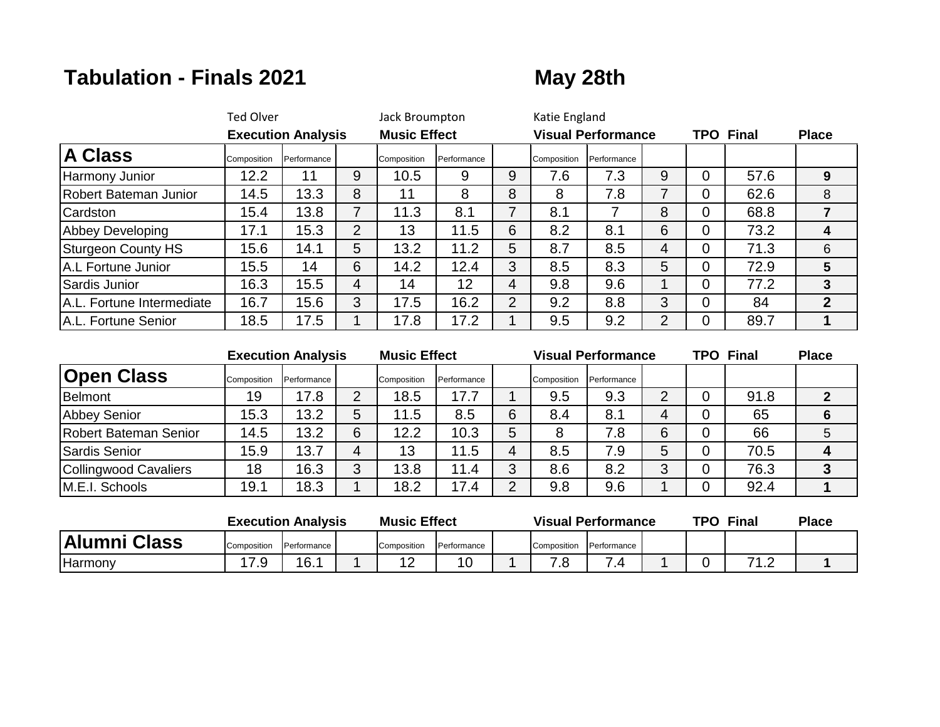## **Tabulation - Finals 2021 May 28th**

|                           | <b>Ted Olver</b><br><b>Execution Analysis</b> |             |                | Jack Broumpton<br><b>Music Effect</b> |             |                | Katie England |                           |   |                  |      |              |
|---------------------------|-----------------------------------------------|-------------|----------------|---------------------------------------|-------------|----------------|---------------|---------------------------|---|------------------|------|--------------|
|                           |                                               |             |                |                                       |             |                |               | <b>Visual Performance</b> |   | <b>TPO Final</b> |      | <b>Place</b> |
| <b>A Class</b>            | Composition                                   | Performance |                | Composition                           | Performance |                | Composition   | Performance               |   |                  |      |              |
| Harmony Junior            | 12.2                                          | 11          | 9              | 10.5                                  | 9           | 9              | 7.6           | 7.3                       | 9 | 0                | 57.6 | 9            |
| Robert Bateman Junior     | 14.5                                          | 13.3        | 8              | 11                                    | 8           | 8              | 8             | 7.8                       |   | 0                | 62.6 | 8            |
| Cardston                  | 15.4                                          | 13.8        | 7              | 11.3                                  | 8.1         | 7              | 8.1           |                           | 8 | 0                | 68.8 |              |
| <b>Abbey Developing</b>   | 17.1                                          | 15.3        | $\overline{2}$ | 13                                    | 11.5        | 6              | 8.2           | 8.1                       | 6 | 0                | 73.2 |              |
| Sturgeon County HS        | 15.6                                          | 14.1        | 5              | 13.2                                  | 11.2        | 5              | 8.7           | 8.5                       | 4 | 0                | 71.3 | 6            |
| A.L Fortune Junior        | 15.5                                          | 14          | 6              | 14.2                                  | 12.4        | 3              | 8.5           | 8.3                       | 5 | 0                | 72.9 | 5            |
| Sardis Junior             | 16.3                                          | 15.5        | 4              | 14                                    | 12          | 4              | 9.8           | 9.6                       |   | 0                | 77.2 | 3            |
| A.L. Fortune Intermediate | 16.7                                          | 15.6        | 3              | 17.5                                  | 16.2        | $\overline{2}$ | 9.2           | 8.8                       | 3 | 0                | 84   | $\mathbf 2$  |
| A.L. Fortune Senior       | 18.5                                          | 17.5        |                | 17.8                                  | 17.2        |                | 9.5           | 9.2                       | 2 | 0                | 89.7 |              |

|                       |             | <b>Execution Analysis</b> |   | <b>Music Effect</b> |             |   |             | <b>Visual Performance</b> |   | <b>TPO Final</b> | <b>Place</b> |
|-----------------------|-------------|---------------------------|---|---------------------|-------------|---|-------------|---------------------------|---|------------------|--------------|
| <b>Open Class</b>     | Composition | Performance               |   | Composition         | Performance |   | Composition | Performance               |   |                  |              |
| Belmont               | 19          | 7.8                       | 2 | 18.5                | 17.7        |   | 9.5         | 9.3                       | ◠ | 91.8             |              |
| <b>Abbey Senior</b>   | 15.3        | 13.2                      | 5 | 11.5                | 8.5         | 6 | 8.4         | 8.1                       | 4 | 65               |              |
| Robert Bateman Senior | 14.5        | 13.2                      | 6 | 12.2                | 10.3        | 5 |             | 7.8                       | 6 | 66               |              |
| Sardis Senior         | 15.9        | 13.7                      |   | 13                  | 11.5        | 4 | 8.5         | 7.9                       | 5 | 70.5             |              |
| Collingwood Cavaliers | 18          | 16.3                      | 3 | 13.8                | 11.4        | 3 | 8.6         | 8.2                       | ◠ | 76.3             |              |
| M.E.I. Schools        | 19.1        | 18.3                      |   | 18.2                | 17.4        | 2 | 9.8         | 9.6                       |   | 92.4             |              |

|              | <b>Execution Analysis</b> |             |  | <b>Music Effect</b>    |                      | <b>Visual Performance</b> |             |             |  | TPO<br>Final |           | <b>Place</b> |
|--------------|---------------------------|-------------|--|------------------------|----------------------|---------------------------|-------------|-------------|--|--------------|-----------|--------------|
| Alumni Class | Composition               | Performance |  | Composition            | <b>I</b> Performance |                           | Composition | Performance |  |              |           |              |
| Harmony      | 17 Q<br>ن. ا              | 16.1        |  | $\sim$<br>. <u>. .</u> | 10                   |                           | . J         | -           |  |              | 71 O<br>. |              |